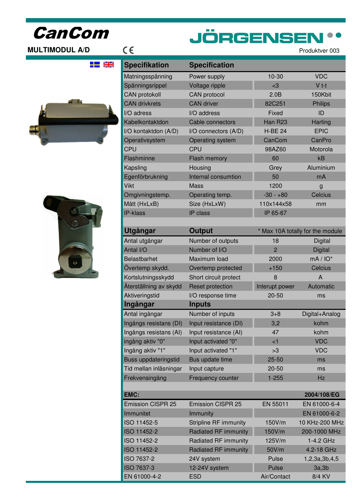# CanCom

# **JÖRGENSER**

**MULTIMODUL A/D**  $\in$   $\in$  **Produktiver 003** 



–<mark>— ≋</mark>⊯





| <b>Specifikation</b>        | <b>Specification</b>        |                |                                  |
|-----------------------------|-----------------------------|----------------|----------------------------------|
| Matningsspänning            | Power supply                | 10-30          | <b>VDC</b>                       |
| Spänningsrippel             | Voltage ripple              | $3$            | $V t-t$                          |
| <b>CAN protokoll</b>        | CAN protocol                | 2.0B           | 150Kbit                          |
| <b>CAN drivkrets</b>        | <b>CAN</b> driver           | 82C251         | <b>Philips</b>                   |
| I/O adress                  | I/O address                 | Fixed          | ID                               |
| Kabelkontaktdon             | Cable connectors            | Han R23        | Harting                          |
| I/O kontaktdon (A/D)        | I/O connectors (A/D)        | <b>H-BE 24</b> | <b>EPIC</b>                      |
| Operativsystem              | Operating system            | CanCom         | CanPro                           |
| <b>CPU</b>                  | <b>CPU</b>                  | 98AZ60         | Motorola                         |
| Flashminne                  | Flash memory                | 60             | kB                               |
| Kapsling                    | Housing                     | Grey           | Aluminium                        |
| Egenförbrukning             | Internal consumtion         | 50             | mA                               |
| Vikt                        | <b>Mass</b>                 | 1200           | $\mathbf{g}$                     |
| Omgivningstemp.             | Operating temp.             | $-30 - +80$    | <b>Celcius</b>                   |
| Mått (HxLxB)                | Size (HxLxW)                | 110x144x58     | mm                               |
| <b>IP-klass</b>             | <b>IP</b> class             | IP 65-67       |                                  |
| Utgångar                    | <b>Output</b>               |                | * Max 10A totally for the module |
| Antal utgångar              | Number of outputs           | 18             | <b>Digital</b>                   |
| Antal I/O                   | Number of I/O               | $\overline{2}$ | Digital                          |
| <b>Belastbarhet</b>         | Maximum load                | 2000           | $mA/IO^*$                        |
| Övertemp skydd.             | Overtemp protected          | $+150$         | Celcius                          |
| Kortslutningsskydd          | Short circuit protect       | 8              | $\overline{A}$                   |
| Återställning av skydd      | Reset protection            | Interupt power | Automatic                        |
| Aktiveringstid              | I/O response time           | $20 - 50$      | ms                               |
| Ingångar                    | <b>Inputs</b>               |                |                                  |
| Antal ingångar              | Number of inputs            | $3 + 8$        | Digital+Analog                   |
| Ingångs resistans (DI)      | Input resistance (DI)       | 3,2            | kohm                             |
| Ingångs resistans (AI)      | Input resistance (AI)       | 47             | kohm                             |
| ingång aktiv "0"            | Input activated "0"         | <1             | <b>VDC</b>                       |
| Ingång aktiv "1"            | Input activated "1"         | >3             | <b>VDC</b>                       |
| <b>Buss uppdateringstid</b> | Bus update time             | $25 - 50$      | ms                               |
| Tid mellan inläsningar      | Input capture               | $20 - 50$      | ms                               |
| Frekvensingång              | Frequency counter           | $1 - 255$      | <b>Hz</b>                        |
| <b>EMC:</b>                 |                             |                | 2004/108/EG                      |
| <b>Emission CISPR 25</b>    | <b>Emission CISPR 25</b>    | EN 55011       | EN 61000-6-4                     |
| Immunitet                   | Immunity                    |                | EN 61000-6-2                     |
| ISO 11452-5                 | Stripline RF immunity       | 150V/m         | 10 KHz-200 MHz                   |
| ISO 11452-2                 | <b>Radiated RF immunity</b> | 150V/m         | 200-1000 MHz                     |
| ISO 11452-2                 | Radiated RF immunity        | 125V/m         | 1-4.2 GHz                        |
| ISO 11452-2                 | Radiated RF immunity        | 50V/m          | 4.2-18 GHz                       |
| ISO 7637-2                  | 24V system                  | Pulse          | 1,2,3a,3b,4,5                    |
| ISO 7637-3                  | 12-24V system               | Pulse          | 3a,3b                            |
| EN 61000-4-2                | <b>ESD</b>                  | Air/Contact    | 8/4 KV                           |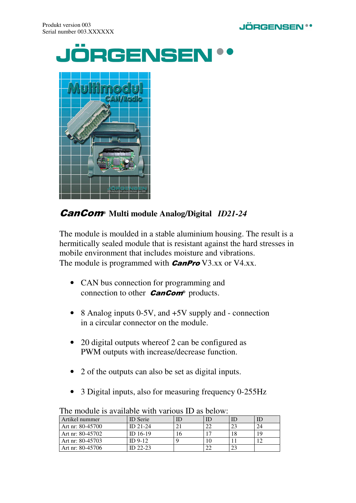





## CanCom® **Multi module Analog/Digital** *ID21-24*

The module is moulded in a stable aluminium housing. The result is a hermitically sealed module that is resistant against the hard stresses in mobile environment that includes moisture and vibrations. The module is programmed with **CanPro** V3.xx or V4.xx.

- CAN bus connection for programming and connection to other  $Cancom<sup>°</sup>$  products.
- 8 Analog inputs 0-5V, and  $+5V$  supply and connection in a circular connector on the module.
- 20 digital outputs whereof 2 can be configured as PWM outputs with increase/decrease function.
- 2 of the outputs can also be set as digital inputs.
- 3 Digital inputs, also for measuring frequency 0-255Hz

| Artikel nummer   | <b>ID</b> Serie |  |    | IE |
|------------------|-----------------|--|----|----|
| Art nr: 80-45700 | $ID$ 21-24      |  |    | 24 |
| Art nr: 80-45702 | ID 16-19        |  | 18 | 19 |
| Art nr: 80-45703 | $ID 9-12$       |  |    |    |
| Art nr: 80-45706 | ID 22-23        |  | 23 |    |

The module is available with various ID as below: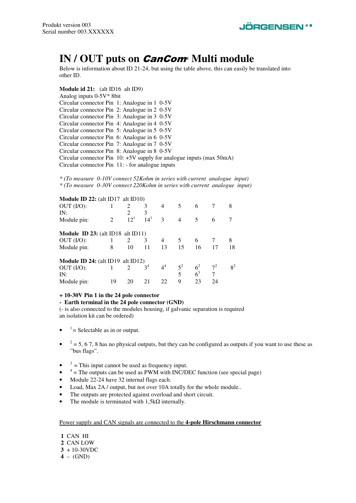

# IN / OUT puts on *CanCom*® Multi module

Below is information about ID 21-24, but using the table above, this can easily be translated into other ID.

**Module id 21:** (alt ID16 alt ID9) Analog inputs 0-5V\* 8bit Circular connector Pin 1: Analogue in 1 0-5V Circular connector Pin 2: Analogue in 2 0-5V Circular connector Pin 3: Analogue in 3 0-5V Circular connector Pin 4: Analogue in 4 0-5V Circular connector Pin 5: Analogue in 5 0-5V Circular connector Pin 6: Analogue in 6 0-5V Circular connector Pin 7: Analogue in 7 0-5V Circular connector Pin 8: Analogue in 8 0-5V Circular connector Pin 10: +5V supply for analogue inputs (max 50mA) Circular connector Pin 11: - for analogue inputs

*\* (To measure 0-10V connect 52Kohm in series with current analogue input) \* (To measure 0-30V connect 220Kohm in series with current analogue input)*

| <b>Module ID 22:</b> (alt ID17 alt ID10) |                |                             |                |               |       |                |       |       |
|------------------------------------------|----------------|-----------------------------|----------------|---------------|-------|----------------|-------|-------|
| OUT (I/O):                               |                | 2                           | 3              | 4             | 5     | 6              |       | 8     |
| IN:                                      |                |                             | 3              |               |       |                |       |       |
| Module pin:                              | $\overline{2}$ | $12^{1}$                    | $14^{1}$       | $\mathcal{F}$ | 4     | 5              | 6     |       |
| <b>Module ID 23:</b> (alt ID18 alt ID11) |                |                             |                |               |       |                |       |       |
| OUT (I/O):                               |                | 2                           | 3              | 4             |       | 6              |       | 8     |
| Module pin:                              | 8              | 10                          | 11             | 13            | 15    | 16             | 17    | 18    |
| <b>Module ID 24:</b> (alt ID19 alt ID12) |                |                             |                |               |       |                |       |       |
| OUT (I/O):                               |                | $\mathcal{D}_{\mathcal{L}}$ | 3 <sup>4</sup> | $4^4$         | $5^2$ | 6 <sup>2</sup> | $7^2$ | $8^2$ |
| IN:                                      |                |                             |                |               | 5     | 6 <sup>3</sup> | 7     |       |
| Module pin:                              | 19             | 20                          | 21             | 22            | 9     | 23             | 24    |       |

#### **+ 10-30V Pin 1 in the 24 pole connector**

**- Earth terminal in the 24 pole connector (GND)** 

(- is also connected to the modules housing, if galvanic separation is required an isolation kit can be ordered)

- $1 =$  Selectable as in or output.
- $2^2$  = 5, 6 7, 8 has no physical outputs, but they can be configured as outputs if you want to use these as "bus flags".

- $3 =$ This input cannot be used as frequency input.
- $4 =$ The outputs can be used as PWM with INC/DEC function (see special page)
- Module 22-24 have 32 internal flags each.
- Load, Max 2A / output, but not over 10A totally for the whole module..
- The outputs are protected against overload and short circuit.
- The module is terminated with  $1,5k\Omega$  internally.

#### Power supply and CAN signals are connected to the **4-pole Hirschmann connector**

- **1** CAN HI
- **2** CAN LOW
- **3** + 10-30VDC
- **4** (GND)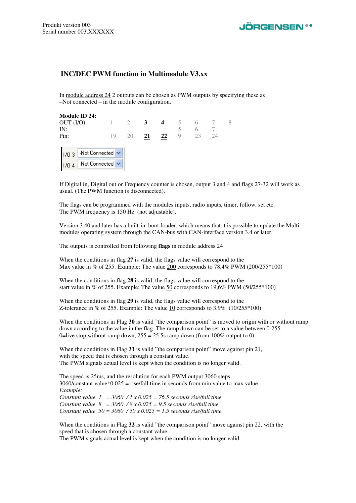

#### **INC/DEC PWM function in Multimodule V3.xx**

In module address 24 2 outputs can be chosen as PWM outputs by specifying these as –Not connected – in the module configuration.

| Module ID 24:<br>OUT (I/O):<br>IN:                                |    |    |    |    |   |    |  |
|-------------------------------------------------------------------|----|----|----|----|---|----|--|
| Pin:                                                              | 19 | 20 | 21 | 22 | 9 | 94 |  |
| Mot Connected <mark>↓</mark><br>1/03<br>-Not Connected ♥<br>1/0.4 |    |    |    |    |   |    |  |

If Digital in, Digital out or Frequency counter is chosen, output 3 and 4 and flags 27-32 will work as usual. (The PWM function is disconnected).

The flags can be programmed with the modules inputs, radio inputs, timer, follow, set etc. The PWM frequency is 150 Hz (not adjustable).

Version 3.40 and later has a built-in boot-loader, which means that it is possible to update the Multi modules operating system through the CAN-bus with CAN-interface version 3.4 or later.

The outputs is controlled from following **flags** in module address 24

When the conditions in flag 27 is valid, the flags value will correspond to the Max value in % of 255. Example: The value 200 corresponds to  $78,4%$  PWM (200/255 $*100$ )

When the conditions in flag **28** is valid, the flags value will correspond to the start value in % of 255. Example: The value  $50$  corresponds to 19,6% PWM (50/255\*100)

When the conditions in flag **29** is valid, the flags value will correspond to the Z-tolerance in % of 255. Example: The value  $\underline{10}$  corresponds to 3,9% (10/255\*100)

When the conditions in Flag 30 is valid "the comparison point" is moved to origin with or without ramp down according to the value in the flag. The ramp down can be set to a value between 0-255. 0=live stop without ramp down,  $255 = 25.5s$  ramp down (from 100% output to 0).

When the conditions in Flag **31** is valid "the comparison point" move against pin 21, with the speed that is chosen through a constant value. The PWM signals actual level is kept when the condition is no longer valid.

The speed is 25ms, and the resolution for each PWM output 3060 steps. 3060/constant value\*0.025 = rise/fall time in seconds from min value to max value *Example: Constant value 1 = 3060 / 1 x 0.025 = 76.5 seconds rise/fall time Constant value 8 = 3060 / 8 x 0.025 = 9.5 seconds rise/fall time Constant value 50 = 3060 / 50 x 0.025 = 1.5 seconds rise/fall time* 

When the conditions in Flag **32** is valid "the comparison point" move against pin 22, with the speed that is chosen through a constant value.

The PWM signals actual level is kept when the condition is no longer valid.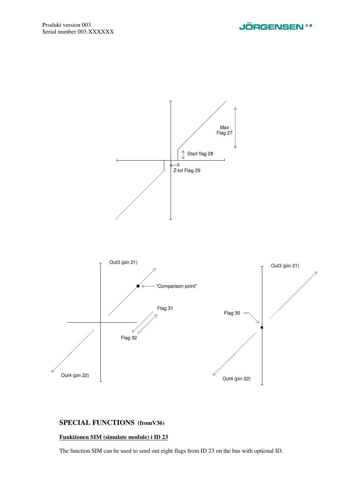



### **SPECIAL FUNCTIONS (fromV36)**

#### **Funktionen SIM (simulate module) i ID 23**

The function SIM can be used to send out eight flags from ID 23 on the bus with optional ID.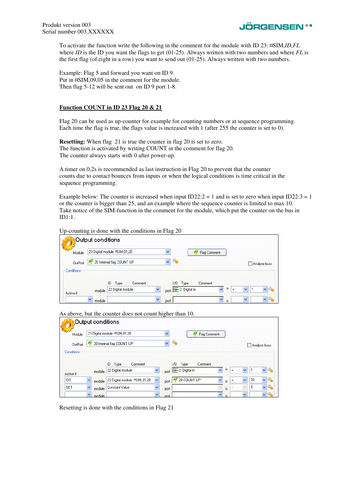

To activate the function write the following in the comment for the module with ID 23: ¤SIM,*ID*,*FL* where *ID* is the ID you want the flags to get (01-25). Always written with two numbers and where *FL* is the first flag (of eight in a row) you want to send out (01-25). Always written with two numbers.

Example: Flag 5 and forward you want on ID 9. Put in ¤SIM,09,05 in the comment for the module. Then flag 5-12 will be sent out on ID 9 port 1-8.

#### **Function COUNT in ID 23 Flag 20 & 21**

Flag 20 can be used as up-counter for example for counting numbers or at sequence programming. Each time the flag is true, the flags value is increased with 1 (after 255 the counter is set to 0).

**Resetting:** When flag 21 is true the counter in flag 20 is set to zero. The function is activated by writing COUNT in the comment for flag 20. The counter always starts with 0 after power-up.

A timer on 0,2s is recommended as last instruction in Flag 20 to prevent that the counter counts due to contact bounces from inputs or when the logical conditions is time critical in the sequence programming.

Example below: The counter is increased when input  $ID22:2 = 1$  and is set to zero when input  $ID22:3 = 1$ or the counter is bigger than 25, and an example where the sequence counter is limited to max 10. Take notice of the SIM-function in the comment for the module, which put the counter on the bus in ID1:1.

Up-counting is done with the conditions in Flag 20

|            | Output conditions                                      |                                                                               |
|------------|--------------------------------------------------------|-------------------------------------------------------------------------------|
| Module     | 23 Digital module \$SIM,01,20<br>$\checkmark$          | Flag Comment                                                                  |
| OutPort    | 20 Internal flag COUNT UP<br>$\checkmark$              | Analyse buss                                                                  |
| Conditions |                                                        |                                                                               |
|            | Comment<br>ID<br>Type                                  | Comment<br>I/O Type                                                           |
| Active if  | 22 Digital module<br>$\checkmark$<br>module            | 18<br>$\overline{\mathbf{v}}$<br>port $E$ 2 Digital in<br>$\checkmark$<br>$=$ |
|            | $\ddot{\phantom{0}}$<br>$\checkmark$<br>module<br>port | ٧<br>$\checkmark$<br>$\checkmark$<br>is                                       |

As above, but the counter does not count higher than 10.

|            | Output conditions |                                               |              |                                            |                         |
|------------|-------------------|-----------------------------------------------|--------------|--------------------------------------------|-------------------------|
| Module     |                   | 23 Digital module \$SIM,01,20                 | v            | Flag Comment                               |                         |
| OutPort    |                   | 20 Internal flag COUNT UP                     | $\checkmark$ | ٤à                                         | Analyse buss            |
| Conditions |                   |                                               |              |                                            |                         |
|            |                   | ID<br>Comment<br>Type                         |              | 170<br>Comment<br>Type                     |                         |
| Active if  | module            | 22 Digital module<br>v                        |              | 1S<br>port E 2 Digital in<br>v<br>$\equiv$ | $\mathbf{v}$            |
| 0R         | v<br>module       | $\checkmark$<br>23 Digital module \$SIM,01,20 | port         | 20 COUNT UP<br>٧<br>$=$<br>is              | 10<br>v<br>$\checkmark$ |
| <b>SET</b> | module            | Constant Value<br>v                           | port         | $=$<br>is                                  | 1<br>$\checkmark$       |
|            | v<br>module       | $\ddotmark$                                   | port         | ٧<br>is                                    | $\vee$<br>$\checkmark$  |

Resetting is done with the conditions in Flag 21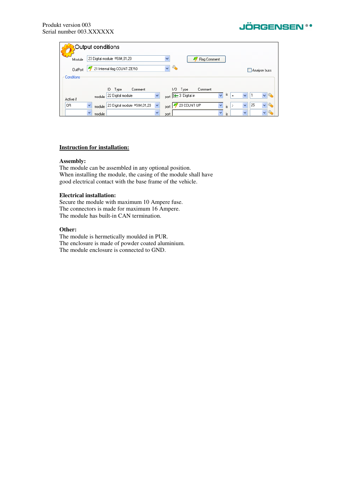

|                   | Output conditions                                                                                                                          |              |
|-------------------|--------------------------------------------------------------------------------------------------------------------------------------------|--------------|
| Module            | 23 Digital module RSIM, 01, 20<br>$\checkmark$<br>Flag Comment                                                                             |              |
| OutPort           | $\checkmark$<br>21 Internal flag COUNT ZERO                                                                                                | Analyse buss |
| <b>Conditions</b> |                                                                                                                                            |              |
|                   | 170<br>ID<br>Comment<br>Comment<br>Type<br>Type                                                                                            |              |
| Active if         | is<br>port <b>E</b> 3 Digital in<br>v<br>22 Digital module<br>v<br>$=$<br>module                                                           |              |
| 0R                | $\frac{1}{2}$ 20 COUNT UP<br>23 Digital module PSIM, 01, 20<br>$\checkmark$<br>$\checkmark$<br>v<br>$\mathcal{P}$<br>is<br>module<br>port. | 25<br>▽      |
|                   | $\checkmark$<br>v<br>is<br>module<br>port                                                                                                  | $\checkmark$ |

#### **Instruction for installation:**

#### **Assembly:**

The module can be assembled in any optional position. When installing the module, the casing of the module shall have good electrical contact with the base frame of the vehicle.

#### **Electrical installation:**

Secure the module with maximum 10 Ampere fuse. The connectors is made for maximum 16 Ampere. The module has built-in CAN termination.

#### **Other:**

The module is hermetically moulded in PUR. The enclosure is made of powder coated aluminium. The module enclosure is connected to GND.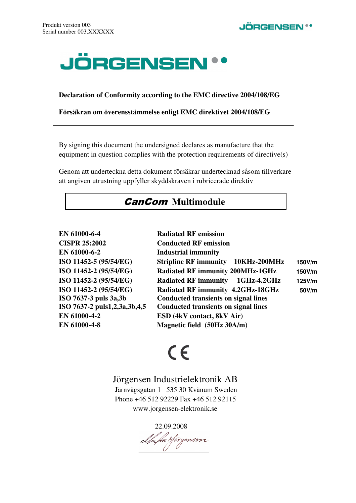



### **Declaration of Conformity according to the EMC directive 2004/108/EG**

**Försäkran om överensstämmelse enligt EMC direktivet 2004/108/EG** 

By signing this document the undersigned declares as manufacture that the equipment in question complies with the protection requirements of directive(s)

Genom att underteckna detta dokument försäkrar undertecknad såsom tillverkare att angiven utrustning uppfyller skyddskraven i rubricerade direktiv

## CanCom **Multimodule**

| EN 61000-6-4                 | <b>Radiated RF emission</b>    |
|------------------------------|--------------------------------|
| <b>CISPR 25:2002</b>         | <b>Conducted RF emission</b>   |
| EN 61000-6-2                 | <b>Industrial immunity</b>     |
| ISO 11452-5 (95/54/EG)       | <b>Stripline RF immunity</b>   |
| ISO 11452-2 (95/54/EG)       | <b>Radiated RF immunity 2</b>  |
| ISO 11452-2 (95/54/EG)       | <b>Radiated RF immunity</b>    |
| ISO 11452-2 (95/54/EG)       | <b>Radiated RF immunity</b>    |
| ISO 7637-3 puls 3a, 3b       | <b>Conducted transients on</b> |
| ISO 7637-2 puls1,2,3a,3b,4,5 | <b>Conducted transients on</b> |
| EN 61000-4-2                 | <b>ESD (4kV contact, 8kV)</b>  |
| EN 61000-4-8                 | <b>Magnetic field (50Hz 30</b> |

| EN 61000-6-4                 | <b>Radiated RF emission</b>                         |        |
|------------------------------|-----------------------------------------------------|--------|
| <b>CISPR 25:2002</b>         | <b>Conducted RF emission</b>                        |        |
| EN 61000-6-2                 | <b>Industrial immunity</b>                          |        |
| ISO 11452-5 (95/54/EG)       | <b>Stripline RF immunity</b><br><b>10KHz-200MHz</b> | 150V/m |
| ISO 11452-2 (95/54/EG)       | <b>Radiated RF immunity 200MHz-1GHz</b>             | 150V/m |
| ISO 11452-2 (95/54/EG)       | Radiated RF immunity 1GHz-4.2GHz                    | 125V/m |
| ISO 11452-2 (95/54/EG)       | <b>Radiated RF immunity 4.2GHz-18GHz</b>            | 50V/m  |
| ISO 7637-3 puls 3a, 3b       | <b>Conducted transients on signal lines</b>         |        |
| ISO 7637-2 puls1,2,3a,3b,4,5 | <b>Conducted transients on signal lines</b>         |        |
| EN 61000-4-2                 | <b>ESD</b> (4kV contact, 8kV Air)                   |        |
| EN 61000-4-8                 | Magnetic field (50Hz 30A/m)                         |        |

# $C \in$

## Jörgensen Industrielektronik AB

 Järnvägsgatan 1 535 30 Kvänum Sweden Phone +46 512 92229 Fax +46 512 92115 www.jorgensen-elektronik.se

22.09.2008

*clfodfi*e Yorgensen